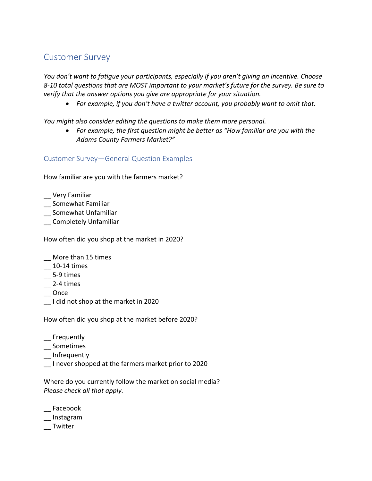# Customer Survey

*You don't want to fatigue your participants, especially if you aren't giving an incentive. Choose 8-10 total questions that are MOST important to your market's future for the survey. Be sure to verify that the answer options you give are appropriate for your situation.* 

• *For example, if you don't have a twitter account, you probably want to omit that.* 

*You might also consider editing the questions to make them more personal.* 

• *For example, the first question might be better as "How familiar are you with the Adams County Farmers Market?"*

## Customer Survey—General Question Examples

How familiar are you with the farmers market?

- \_\_ Very Familiar
- \_\_ Somewhat Familiar
- \_\_ Somewhat Unfamiliar
- \_\_ Completely Unfamiliar

How often did you shop at the market in 2020?

- \_\_ More than 15 times
- \_\_ 10-14 times
- $\overline{\phantom{0}}$  5-9 times
- $\sim$  2-4 times
- \_\_ Once
- \_\_ I did not shop at the market in 2020

How often did you shop at the market before 2020?

- \_\_ Frequently
- \_\_ Sometimes
- \_\_ Infrequently
- \_\_ I never shopped at the farmers market prior to 2020

Where do you currently follow the market on social media? *Please check all that apply.*

- \_\_ Facebook
- \_\_ Instagram
- \_\_ Twitter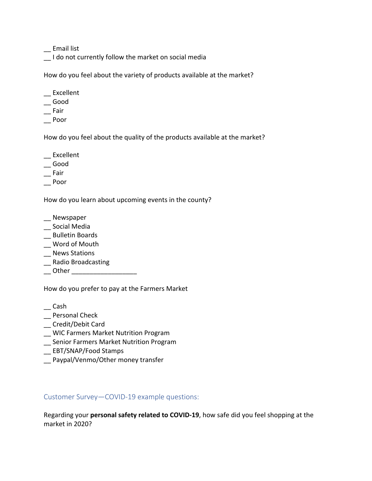\_\_ Email list

I do not currently follow the market on social media

How do you feel about the variety of products available at the market?

- \_\_ Excellent
- \_\_ Good
- $\equiv$  Fair
- \_\_ Poor

How do you feel about the quality of the products available at the market?

- \_\_ Excellent
- \_\_ Good
- $\equiv$ Fair
- \_\_ Poor

How do you learn about upcoming events in the county?

- \_\_ Newspaper
- \_\_ Social Media
- \_\_ Bulletin Boards
- \_\_ Word of Mouth
- \_\_ News Stations
- \_\_ Radio Broadcasting
- \_\_\_ Other \_\_\_\_\_\_\_\_\_\_\_\_\_\_\_\_\_\_\_\_\_\_\_\_

How do you prefer to pay at the Farmers Market

- $\equiv$  Cash
- \_\_ Personal Check
- \_\_ Credit/Debit Card
- \_\_ WIC Farmers Market Nutrition Program
- \_\_ Senior Farmers Market Nutrition Program
- \_\_ EBT/SNAP/Food Stamps
- \_\_ Paypal/Venmo/Other money transfer

Customer Survey—COVID-19 example questions:

Regarding your **personal safety related to COVID-19**, how safe did you feel shopping at the market in 2020?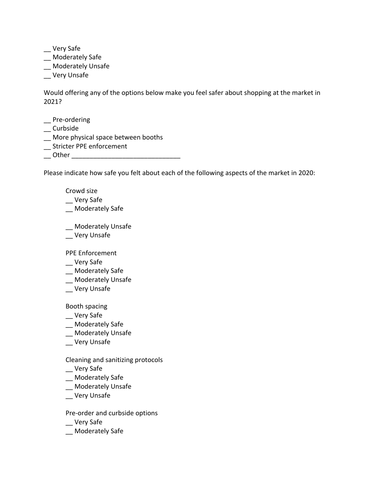\_\_ Very Safe

- \_\_ Moderately Safe
- \_\_ Moderately Unsafe
- \_\_ Very Unsafe

Would offering any of the options below make you feel safer about shopping at the market in 2021?

- \_\_ Pre-ordering
- \_\_ Curbside
- \_\_ More physical space between booths
- \_\_ Stricter PPE enforcement
- \_\_ Other \_\_\_\_\_\_\_\_\_\_\_\_\_\_\_\_\_\_\_\_\_\_\_\_\_\_\_\_\_\_

Please indicate how safe you felt about each of the following aspects of the market in 2020:

- Crowd size
- \_\_ Very Safe
- \_\_ Moderately Safe
- \_\_ Moderately Unsafe
- \_\_ Very Unsafe

PPE Enforcement

- \_\_ Very Safe
- \_\_ Moderately Safe
- \_\_ Moderately Unsafe
- \_\_ Very Unsafe

Booth spacing

- \_\_ Very Safe
- \_\_ Moderately Safe
- \_\_ Moderately Unsafe
- \_\_ Very Unsafe

Cleaning and sanitizing protocols

- \_\_ Very Safe
- \_\_ Moderately Safe
- \_\_ Moderately Unsafe
- \_\_ Very Unsafe

Pre-order and curbside options

- \_\_ Very Safe
- \_\_ Moderately Safe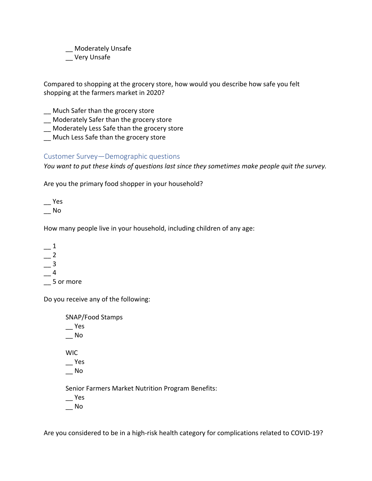\_\_ Moderately Unsafe \_\_ Very Unsafe

Compared to shopping at the grocery store, how would you describe how safe you felt shopping at the farmers market in 2020?

- \_\_ Much Safer than the grocery store
- \_\_ Moderately Safer than the grocery store
- \_\_ Moderately Less Safe than the grocery store
- \_\_ Much Less Safe than the grocery store

## Customer Survey—Demographic questions

*You want to put these kinds of questions last since they sometimes make people quit the survey.*

Are you the primary food shopper in your household?

 $\equiv$  Yes \_\_ No

How many people live in your household, including children of any age:

 $\_\_$ 1  $-$  2  $\overline{\phantom{0}}^3$  $-4$ \_\_ 5 or more

Do you receive any of the following:

SNAP/Food Stamps \_\_ Yes  $\equiv$  No WIC  $\overline{\phantom{a}}$  Yes \_\_ No Senior Farmers Market Nutrition Program Benefits: \_\_ Yes  $\overline{\phantom{0}}$  No

Are you considered to be in a high-risk health category for complications related to COVID-19?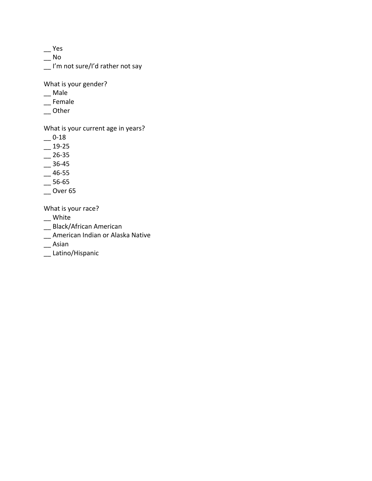\_\_ Yes

 $\equiv$  No

\_\_ I'm not sure/I'd rather not say

What is your gender?

- \_\_ Male
- \_\_ Female
- $\overline{\phantom{a}}$  Other

What is your current age in years?

- $-0.18$
- $-$  19-25
- $-$  26-35
- $-$  36-45
- $-$  46-55
- $-$  56-65
- $\sim$  Over 65

What is your race?

- \_\_ White
- \_\_ Black/African American
- \_\_ American Indian or Alaska Native
- $\overline{\phantom{a}}$ Asian
- \_\_ Latino/Hispanic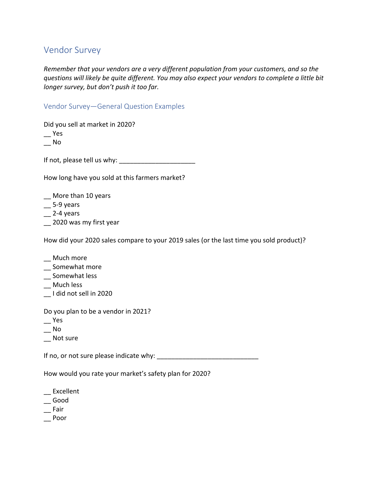# Vendor Survey

*Remember that your vendors are a very different population from your customers, and so the questions will likely be quite different. You may also expect your vendors to complete a little bit longer survey, but don't push it too far.* 

Vendor Survey—General Question Examples

Did you sell at market in 2020?

\_\_ Yes

 $\overline{\phantom{0}}$  No

If not, please tell us why: \_\_\_\_\_\_\_\_\_\_\_\_\_\_\_\_\_\_\_\_\_

How long have you sold at this farmers market?

- \_\_ More than 10 years
- $\equiv$  5-9 years
- $-$  2-4 years
- \_\_ 2020 was my first year

How did your 2020 sales compare to your 2019 sales (or the last time you sold product)?

- \_\_ Much more
- Somewhat more
- \_\_ Somewhat less
- \_\_ Much less
- \_\_ I did not sell in 2020

Do you plan to be a vendor in 2021?

- \_\_ Yes
- $\overline{\phantom{0}}$  No
- \_\_ Not sure

If no, or not sure please indicate why:

How would you rate your market's safety plan for 2020?

- \_\_ Excellent
- \_\_ Good
- $\equiv$ Fair
- \_\_ Poor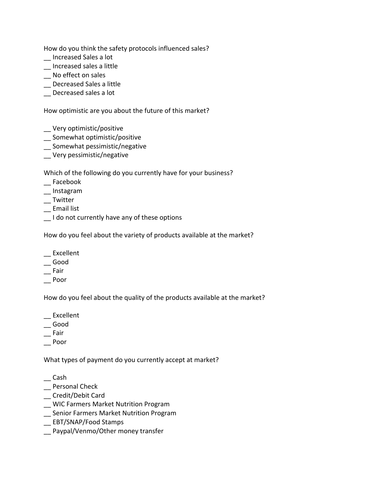How do you think the safety protocols influenced sales?

- \_\_ Increased Sales a lot
- \_\_ Increased sales a little
- \_\_ No effect on sales
- \_\_ Decreased Sales a little
- Decreased sales a lot

How optimistic are you about the future of this market?

- \_\_ Very optimistic/positive
- \_\_ Somewhat optimistic/positive
- \_\_ Somewhat pessimistic/negative
- \_\_ Very pessimistic/negative

Which of the following do you currently have for your business?

- \_\_ Facebook
- \_\_ Instagram
- \_\_ Twitter
- \_\_ Email list
- \_\_ I do not currently have any of these options

How do you feel about the variety of products available at the market?

- \_\_ Excellent
- \_\_ Good
- $\equiv$ Fair
- \_\_ Poor

How do you feel about the quality of the products available at the market?

- \_\_ Excellent
- \_\_ Good
- $\equiv$ Fair
- \_\_ Poor

What types of payment do you currently accept at market?

\_\_ Cash

- \_\_ Personal Check
- \_\_ Credit/Debit Card
- \_\_ WIC Farmers Market Nutrition Program
- \_\_ Senior Farmers Market Nutrition Program
- \_\_ EBT/SNAP/Food Stamps
- Paypal/Venmo/Other money transfer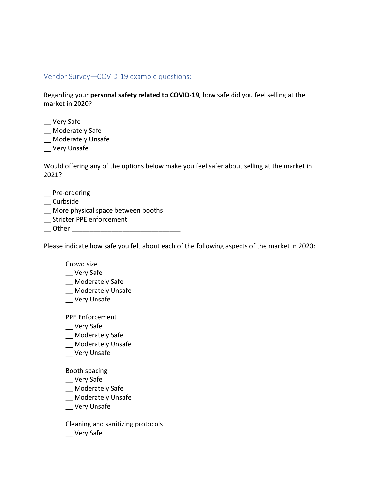### Vendor Survey—COVID-19 example questions:

Regarding your **personal safety related to COVID-19**, how safe did you feel selling at the market in 2020?

- \_\_ Very Safe
- \_\_ Moderately Safe
- \_\_ Moderately Unsafe
- \_\_ Very Unsafe

Would offering any of the options below make you feel safer about selling at the market in 2021?

- \_\_ Pre-ordering
- \_\_ Curbside
- \_\_ More physical space between booths
- \_\_ Stricter PPE enforcement
- Other  $\Box$

Please indicate how safe you felt about each of the following aspects of the market in 2020:

#### Crowd size

- \_\_ Very Safe
- \_\_ Moderately Safe
- \_\_ Moderately Unsafe
- \_\_ Very Unsafe

PPE Enforcement

- \_\_ Very Safe
- \_\_ Moderately Safe
- \_\_ Moderately Unsafe
- \_\_ Very Unsafe

#### Booth spacing

- \_\_ Very Safe
- \_\_ Moderately Safe
- \_\_ Moderately Unsafe
- \_\_ Very Unsafe

Cleaning and sanitizing protocols

\_\_ Very Safe